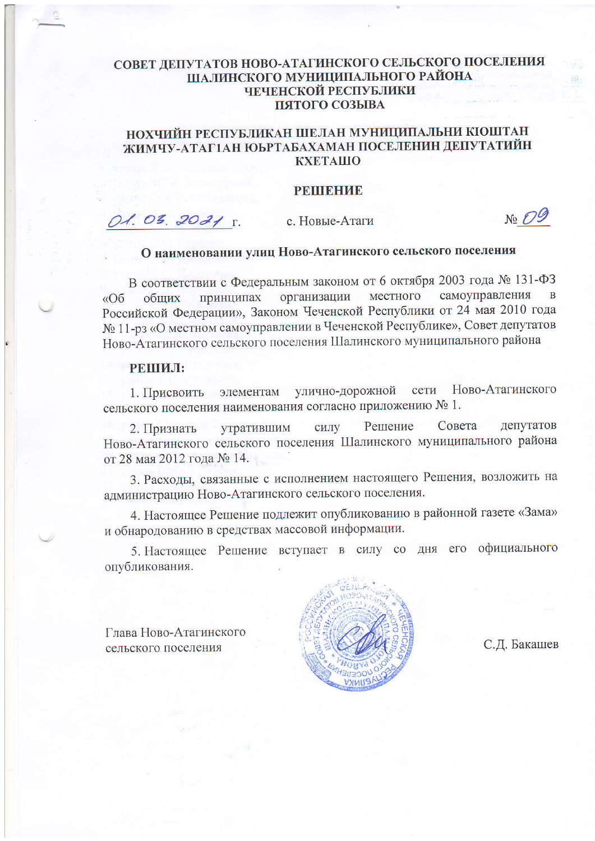## СОВЕТ ДЕПУТАТОВ НОВО-АТАГИНСКОГО СЕЛЬСКОГО ПОСЕЛЕНИЯ ШАЛИНСКОГО МУНИЦИПАЛЬНОГО РАЙОНА ЧЕЧЕНСКОЙ РЕСПУБЛИКИ ПЯТОГО СОЗЫВА

## НОХЧИЙН РЕСПУБЛИКАН ШЕЛАН МУНИЦИПАЛЬНИ КІОШТАН ЖИМЧУ-АТАГ1АН ЮЬРТАБАХАМАН ПОСЕЛЕНИН ДЕПУТАТИЙН **KXETAIIIO**

#### **PEIHEFME**

O1. 03. 2021 r. с. Новые-Атаги

 $\sqrt{6}$ 

# О наименовании улиц Ново-Атагинского сельского поселения

В соответствии с Федеральным законом от 6 октября 2003 года № 131-ФЗ самоуправления местного принципах организации обших  $\triangleleft$ Российской Федерации», Законом Чеченской Республики от 24 мая 2010 года № 11-рз «О местном самоуправлении в Чеченской Республике», Совет депутатов Ново-Атагинского сельского поселения Шалинского муниципального района

### РЕШИЛ:

1. Присвоить элементам улично-дорожной Ново-Атагинского сети сельского поселения наименования согласно приложению № 1.

Решение Совета депутатов утратившим силу 2. Признать Ново-Атагинского сельского поселения Шалинского муниципального района от 28 мая 2012 года № 14.

3. Расходы, связанные с исполнением настоящего Решения, возложить на администрацию Ново-Атагинского сельского поселения.

4. Настоящее Решение подлежит опубликованию в районной газете «Зама» и обнародованию в средствах массовой информации.

5. Настоящее Решение вступает в силу со дня его официального опубликования.

Глава Ново-Атагинского сельского поселения



С.Д. Бакашев